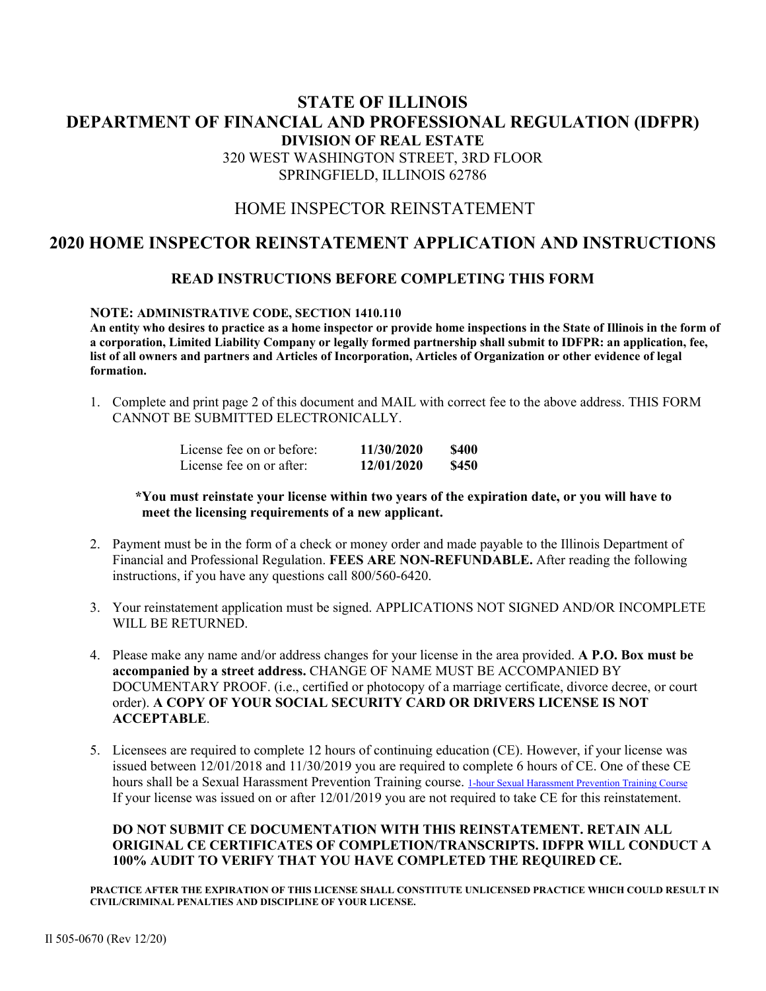## **STATE OF ILLINOIS DEPARTMENT OF FINANCIAL AND PROFESSIONAL REGULATION (IDFPR) DIVISION OF REAL ESTATE**  320 WEST WASHINGTON STREET, 3RD FLOOR SPRINGFIELD, ILLINOIS 62786

## HOME INSPECTOR REINSTATEMENT

## **2020 HOME INSPECTOR REINSTATEMENT APPLICATION AND INSTRUCTIONS**

### **READ INSTRUCTIONS BEFORE COMPLETING THIS FORM**

#### **NOTE: ADMINISTRATIVE CODE, SECTION 1410.110**

**An entity who desires to practice as a home inspector or provide home inspections in the State of Illinois in the form of a corporation, Limited Liability Company or legally formed partnership shall submit to IDFPR: an application, fee, list of all owners and partners and Articles of Incorporation, Articles of Organization or other evidence of legal formation.** 

1. Complete and print page 2 of this document and MAIL with correct fee to the above address. THIS FORM CANNOT BE SUBMITTED ELECTRONICALLY.

| License fee on or before: | 11/30/2020 | \$400 |
|---------------------------|------------|-------|
| License fee on or after:  | 12/01/2020 | \$450 |

#### **\*You must reinstate your license within two years of the expiration date, or you will have to meet the licensing requirements of a new applicant.**

- 2. Payment must be in the form of a check or money order and made payable to the Illinois Department of Financial and Professional Regulation. **FEES ARE NON-REFUNDABLE.** After reading the following instructions, if you have any questions call 800/560-6420.
- 3. Your reinstatement application must be signed. APPLICATIONS NOT SIGNED AND/OR INCOMPLETE WILL BE RETURNED.
- 4. Please make any name and/or address changes for your license in the area provided. **A P.O. Box must be accompanied by a street address.** CHANGE OF NAME MUST BE ACCOMPANIED BY DOCUMENTARY PROOF. (i.e., certified or photocopy of a marriage certificate, divorce decree, or court order). **A COPY OF YOUR SOCIAL SECURITY CARD OR DRIVERS LICENSE IS NOT ACCEPTABLE**.
- 5. Licensees are required to complete 12 hours of continuing education (CE). However, if your license was issued between 12/01/2018 and 11/30/2019 you are required to complete 6 hours of CE. One of these CE hours shall be a Sexual Harassment Prevention Training course. 1-hour Sexual Harassment Prevention Training Course If your license was issued on or after 12/01/2019 you are not required to take CE for this reinstatement.

#### **DO NOT SUBMIT CE DOCUMENTATION WITH THIS REINSTATEMENT. RETAIN ALL ORIGINAL CE CERTIFICATES OF COMPLETION/TRANSCRIPTS. IDFPR WILL CONDUCT A 100% AUDIT TO VERIFY THAT YOU HAVE COMPLETED THE REQUIRED CE.**

**PRACTICE AFTER THE EXPIRATION OF THIS LICENSE SHALL CONSTITUTE UNLICENSED PRACTICE WHICH COULD RESULT IN CIVIL/CRIMINAL PENALTIES AND DISCIPLINE OF YOUR LICENSE.**